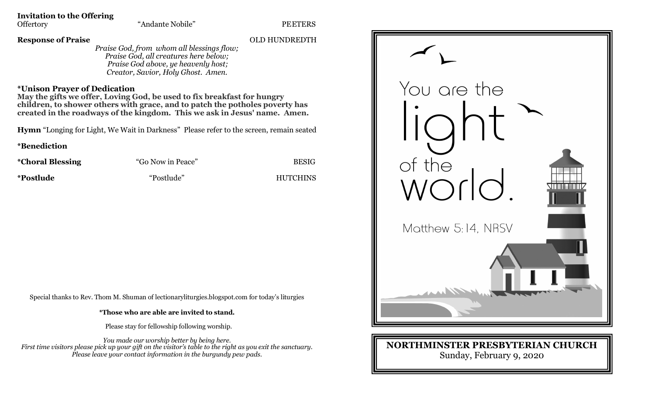**Invitation to the Offering**

**Response of Praise** OLD HUNDREDTH

*Praise God, from whom all blessings flow; Praise God, all creatures here below; Praise God above, ye heavenly host; Creator, Savior, Holy Ghost. Amen.*

## **\*Unison Prayer of Dedication**

**May the gifts we offer, Loving God, be used to fix breakfast for hungry children, to shower others with grace, and to patch the potholes poverty has created in the roadways of the kingdom. This we ask in Jesus' name. Amen.**

**Hymn** "Longing for Light, We Wait in Darkness" Please refer to the screen, remain seated

**\*Benediction** 

| <i>*</i> Choral Blessing | "Go Now in Peace" | <b>BESIG</b>    |
|--------------------------|-------------------|-----------------|
| *Postlude                | "Postlude"        | <b>HUTCHINS</b> |

Special thanks to Rev. Thom M. Shuman of lectionaryliturgies.blogspot.com for today's liturgies

**\*Those who are able are invited to stand.**

Please stay for fellowship following worship.

*You made our worship better by being here. First time visitors please pick up your gift on the visitor's table to the right as you exit the sanctuary. Please leave your contact information in the burgundy pew pads.*



## **NORTHMINSTER PRESBYTERIAN CHURCH** Sunday, February 9, 2020